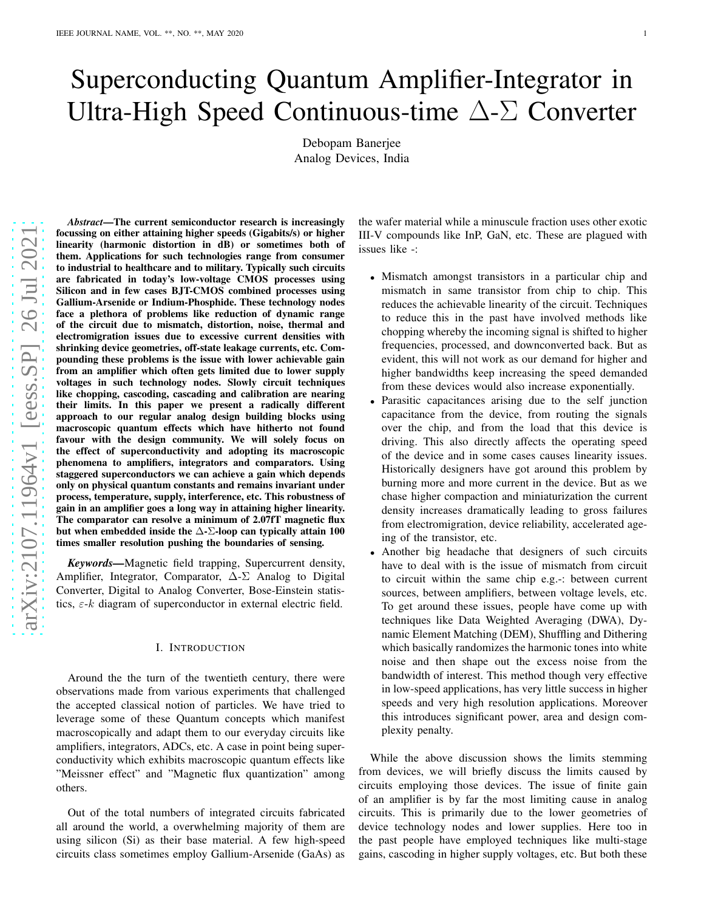# Superconducting Quantum Amplifier-Integrator in Ultra-High Speed Continuous-time  $\Delta$ - $\Sigma$  Converter

Debopam Banerjee Analog Devices, India

*Abstract*—The current semiconductor research is increasingly focussing on either attaining higher speeds (Gigabits/s) or higher linearity (harmonic distortion in dB) or sometimes both of them. Applications for such technologies range from consumer to industrial to healthcare and to military. Typically such circuits are fabricated in today's low-voltage CMOS processes using Silicon and in few cases BJT-CMOS combined processes using Gallium-Arsenide or Indium-Phosphide. These technology nodes face a plethora of problems like reduction of dynamic range of the circuit due to mismatch, distortion, noise, thermal and electromigration issues due to excessive current densities with shrinking device geometries, off-state leakage currents, etc. Compounding these problems is the issue with lower achievable gain from an amplifier which often gets limited due to lower supply voltages in such technology nodes. Slowly circuit techniques like chopping, cascoding, cascading and calibration are nearing their limits. In this paper we present a radically different approach to our regular analog design building blocks using macroscopic quantum effects which have hitherto not found favour with the design community. We will solely focus on the effect of superconductivity and adopting its macroscopic phenomena to amplifiers, integrators and comparators. Usin g staggered superconductors we can achieve a gain which depends only on physical quantum constants and remains invariant under process, temperature, supply, interference, etc. This robustness of gain in an amplifier goes a long way in attaining higher linearity. The comparator can resolve a minimum of 2.07fT magnetic flux but when embedded inside the  $\Delta$ - $\Sigma$ -loop can typically attain 100 times smaller resolution pushing the boundaries of sensing .

*Keywords—*Magnetic field trapping, Supercurrent density, Amplifier, Integrator, Comparator,  $\Delta$ - $\Sigma$  Analog to Digital Converter, Digital to Analog Converter, Bose-Einstein statistics,  $\varepsilon$ -k diagram of superconductor in external electric field.

### I. INTRODUCTION

Around the the turn of the twentieth century, there were observations made from various experiments that challenge d the accepted classical notion of particles. We have tried to leverage some of these Quantum concepts which manifest macroscopically and adapt them to our everyday circuits lik e amplifiers, integrators, ADCs, etc. A case in point being superconductivity which exhibits macroscopic quantum effects like "Meissner effect" and "Magnetic flux quantization" among others.

Out of the total numbers of integrated circuits fabricated all around the world, a overwhelming majority of them are using silicon (Si) as their base material. A few high-speed circuits class sometimes employ Gallium-Arsenide (GaAs) a s

the wafer material while a minuscule fraction uses other exotic III-V compounds like InP, GaN, etc. These are plagued with issues like -:

- Mismatch amongst transistors in a particular chip and mismatch in same transistor from chip to chip. This reduces the achievable linearity of the circuit. Technique s to reduce this in the past have involved methods like chopping whereby the incoming signal is shifted to higher frequencies, processed, and downconverted back. But as evident, this will not work as our demand for higher and higher bandwidths keep increasing the speed demanded from these devices would also increase exponentially.
- Parasitic capacitances arising due to the self junction capacitance from the device, from routing the signals over the chip, and from the load that this device is driving. This also directly affects the operating speed of the device and in some cases causes linearity issues. Historically designers have got around this problem by burning more and more current in the device. But as we chase higher compaction and miniaturization the current density increases dramatically leading to gross failures from electromigration, device reliability, accelerated ageing of the transistor, etc.
- Another big headache that designers of such circuits have to deal with is the issue of mismatch from circuit to circuit within the same chip e.g.-: between current sources, between amplifiers, between voltage levels, etc. To get around these issues, people have come up with techniques like Data Weighted Averaging (DWA), Dynamic Element Matching (DEM), Shuffling and Dithering which basically randomizes the harmonic tones into white noise and then shape out the excess noise from the bandwidth of interest. This method though very effective in low-speed applications, has very little success in highe r speeds and very high resolution applications. Moreover this introduces significant power, area and design complexity penalty.

While the above discussion shows the limits stemming from devices, we will briefly discuss the limits caused by circuits employing those devices. The issue of finite gain of an amplifier is by far the most limiting cause in analog circuits. This is primarily due to the lower geometries of device technology nodes and lower supplies. Here too in the past people have employed techniques like multi-stage gains, cascoding in higher supply voltages, etc. But both these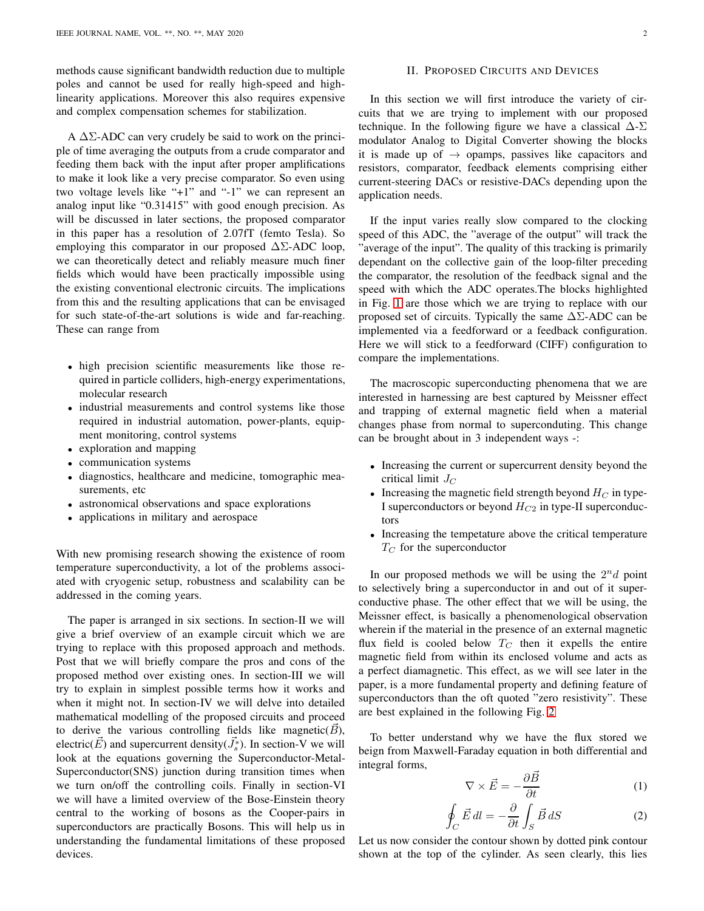methods cause significant bandwidth reduction due to multiple poles and cannot be used for really high-speed and highlinearity applications. Moreover this also requires expensive and complex compensation schemes for stabilization.

A  $\Delta\Sigma$ -ADC can very crudely be said to work on the principle of time averaging the outputs from a crude comparator and feeding them back with the input after proper amplifications to make it look like a very precise comparator. So even using two voltage levels like "+1" and "-1" we can represent an analog input like "0.31415" with good enough precision. As will be discussed in later sections, the proposed comparator in this paper has a resolution of 2.07fT (femto Tesla). So employing this comparator in our proposed  $\Delta\Sigma$ -ADC loop, we can theoretically detect and reliably measure much finer fields which would have been practically impossible using the existing conventional electronic circuits. The implications from this and the resulting applications that can be envisaged for such state-of-the-art solutions is wide and far-reaching. These can range from

- high precision scientific measurements like those required in particle colliders, high-energy experimentations, molecular research
- industrial measurements and control systems like those required in industrial automation, power-plants, equipment monitoring, control systems
- exploration and mapping
- communication systems
- diagnostics, healthcare and medicine, tomographic measurements, etc
- astronomical observations and space explorations
- applications in military and aerospace

With new promising research showing the existence of room temperature superconductivity, a lot of the problems associated with cryogenic setup, robustness and scalability can be addressed in the coming years.

The paper is arranged in six sections. In section-II we will give a brief overview of an example circuit which we are trying to replace with this proposed approach and methods. Post that we will briefly compare the pros and cons of the proposed method over existing ones. In section-III we will try to explain in simplest possible terms how it works and when it might not. In section-IV we will delve into detailed mathematical modelling of the proposed circuits and proceed to derive the various controlling fields like magnetic( $B$ ), electric( $\vec{E}$ ) and supercurrent density( $\vec{J}_s^*$ ). In section-V we will look at the equations governing the Superconductor-Metal-Superconductor(SNS) junction during transition times when we turn on/off the controlling coils. Finally in section-VI we will have a limited overview of the Bose-Einstein theory central to the working of bosons as the Cooper-pairs in superconductors are practically Bosons. This will help us in understanding the fundamental limitations of these proposed devices.

## II. PROPOSED CIRCUITS AND DEVICES

In this section we will first introduce the variety of circuits that we are trying to implement with our proposed technique. In the following figure we have a classical  $\Delta$ - $\Sigma$ modulator Analog to Digital Converter showing the blocks it is made up of  $\rightarrow$  opamps, passives like capacitors and resistors, comparator, feedback elements comprising either current-steering DACs or resistive-DACs depending upon the application needs.

If the input varies really slow compared to the clocking speed of this ADC, the "average of the output" will track the "average of the input". The quality of this tracking is primarily dependant on the collective gain of the loop-filter preceding the comparator, the resolution of the feedback signal and the speed with which the ADC operates.The blocks highlighted in Fig. [1](#page-2-0) are those which we are trying to replace with our proposed set of circuits. Typically the same  $\Delta\Sigma$ -ADC can be implemented via a feedforward or a feedback configuration. Here we will stick to a feedforward (CIFF) configuration to compare the implementations.

The macroscopic superconducting phenomena that we are interested in harnessing are best captured by Meissner effect and trapping of external magnetic field when a material changes phase from normal to superconduting. This change can be brought about in 3 independent ways -:

- Increasing the current or supercurrent density beyond the critical limit  $J_C$
- Increasing the magnetic field strength beyond  $H_C$  in type-I superconductors or beyond  $H_{C2}$  in type-II superconductors
- Increasing the tempetature above the critical temperature  $T_C$  for the superconductor

In our proposed methods we will be using the  $2^n d$  point to selectively bring a superconductor in and out of it superconductive phase. The other effect that we will be using, the Meissner effect, is basically a phenomenological observation wherein if the material in the presence of an external magnetic flux field is cooled below  $T_C$  then it expells the entire magnetic field from within its enclosed volume and acts as a perfect diamagnetic. This effect, as we will see later in the paper, is a more fundamental property and defining feature of superconductors than the oft quoted "zero resistivity". These are best explained in the following Fig. [2](#page-3-0)

To better understand why we have the flux stored we beign from Maxwell-Faraday equation in both differential and integral forms,

$$
\nabla \times \vec{E} = -\frac{\partial \vec{B}}{\partial t}
$$
 (1)

$$
\oint_C \vec{E} \, dl = -\frac{\partial}{\partial t} \int_S \vec{B} \, dS \tag{2}
$$

Let us now consider the contour shown by dotted pink contour shown at the top of the cylinder. As seen clearly, this lies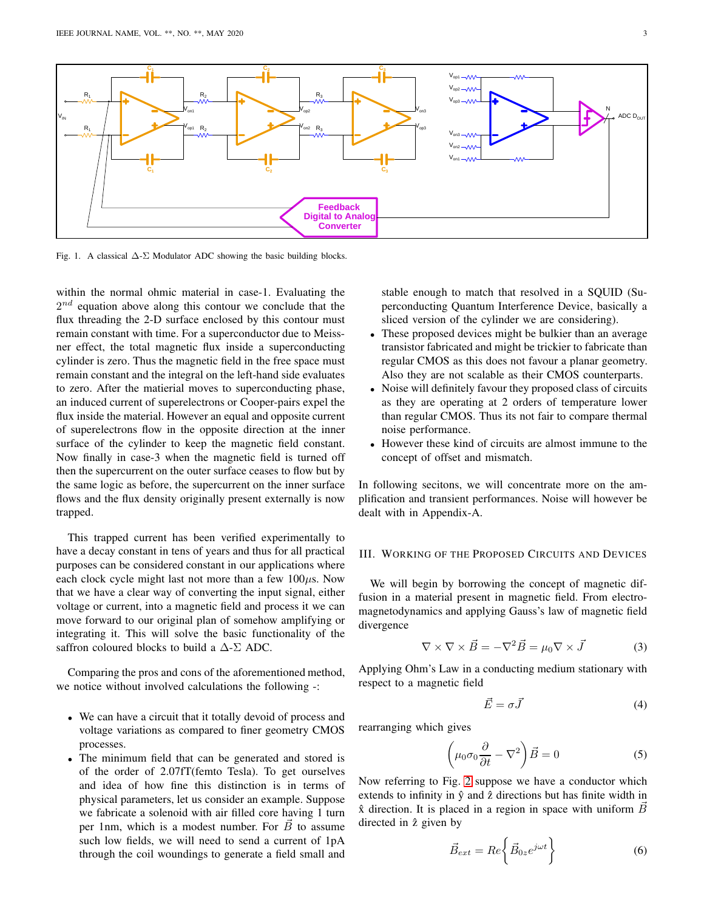

<span id="page-2-0"></span>Fig. 1. A classical  $\Delta$ -Σ Modulator ADC showing the basic building blocks.

within the normal ohmic material in case-1. Evaluating the  $2^{nd}$  equation above along this contour we conclude that the flux threading the 2-D surface enclosed by this contour must remain constant with time. For a superconductor due to Meissner effect, the total magnetic flux inside a superconducting cylinder is zero. Thus the magnetic field in the free space must remain constant and the integral on the left-hand side evaluates to zero. After the matierial moves to superconducting phase, an induced current of superelectrons or Cooper-pairs expel the flux inside the material. However an equal and opposite current of superelectrons flow in the opposite direction at the inner surface of the cylinder to keep the magnetic field constant. Now finally in case-3 when the magnetic field is turned off then the supercurrent on the outer surface ceases to flow but by the same logic as before, the supercurrent on the inner surface flows and the flux density originally present externally is now trapped.

This trapped current has been verified experimentally to have a decay constant in tens of years and thus for all practical purposes can be considered constant in our applications where each clock cycle might last not more than a few  $100\mu s$ . Now that we have a clear way of converting the input signal, either voltage or current, into a magnetic field and process it we can move forward to our original plan of somehow amplifying or integrating it. This will solve the basic functionality of the saffron coloured blocks to build a  $\Delta$ -Σ ADC.

Comparing the pros and cons of the aforementioned method, we notice without involved calculations the following -:

- We can have a circuit that it totally devoid of process and voltage variations as compared to finer geometry CMOS processes.
- The minimum field that can be generated and stored is of the order of 2.07fT(femto Tesla). To get ourselves and idea of how fine this distinction is in terms of physical parameters, let us consider an example. Suppose we fabricate a solenoid with air filled core having 1 turn per 1nm, which is a modest number. For  $\vec{B}$  to assume such low fields, we will need to send a current of 1pA through the coil woundings to generate a field small and

stable enough to match that resolved in a SQUID (Superconducting Quantum Interference Device, basically a sliced version of the cylinder we are considering).

- These proposed devices might be bulkier than an average transistor fabricated and might be trickier to fabricate than regular CMOS as this does not favour a planar geometry. Also they are not scalable as their CMOS counterparts.
- Noise will definitely favour they proposed class of circuits as they are operating at 2 orders of temperature lower than regular CMOS. Thus its not fair to compare thermal noise performance.
- However these kind of circuits are almost immune to the concept of offset and mismatch.

In following secitons, we will concentrate more on the amplification and transient performances. Noise will however be dealt with in Appendix-A.

#### III. WORKING OF THE PROPOSED CIRCUITS AND DEVICES

We will begin by borrowing the concept of magnetic diffusion in a material present in magnetic field. From electromagnetodynamics and applying Gauss's law of magnetic field divergence

$$
\nabla \times \nabla \times \vec{B} = -\nabla^2 \vec{B} = \mu_0 \nabla \times \vec{J}
$$
 (3)

Applying Ohm's Law in a conducting medium stationary with respect to a magnetic field

$$
\vec{E} = \sigma \vec{J} \tag{4}
$$

rearranging which gives

$$
\left(\mu_0 \sigma_0 \frac{\partial}{\partial t} - \nabla^2\right) \vec{B} = 0\tag{5}
$$

Now referring to Fig. [2](#page-3-0) suppose we have a conductor which extends to infinity in  $\hat{y}$  and  $\hat{z}$  directions but has finite width in  $\hat{x}$  direction. It is placed in a region in space with uniform  $\vec{B}$ directed in  $\hat{z}$  given by

$$
\vec{B}_{ext} = Re \left\{ \vec{B}_{0z} e^{j\omega t} \right\}
$$
 (6)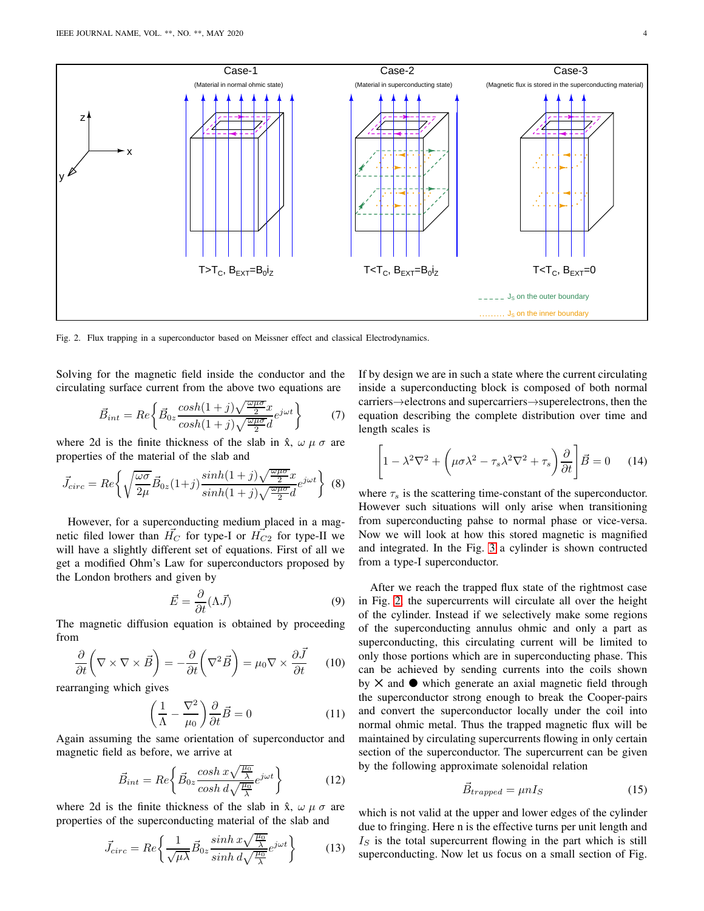

<span id="page-3-0"></span>Fig. 2. Flux trapping in a superconductor based on Meissner effect and classical Electrodynamics.

Solving for the magnetic field inside the conductor and the circulating surface current from the above two equations are

$$
\vec{B}_{int} = Re \left\{ \vec{B}_{0z} \frac{\cosh(1+j)\sqrt{\frac{\omega\mu\sigma}{2}}x}{\cosh(1+j)\sqrt{\frac{\omega\mu\sigma}{2}}d} e^{j\omega t} \right\}
$$
(7)

where 2d is the finite thickness of the slab in  $\hat{x}$ ,  $\omega \mu \sigma$  are properties of the material of the slab and

$$
\vec{J}_{circ} = Re \left\{ \sqrt{\frac{\omega \sigma}{2\mu}} \vec{B}_{0z} (1+j) \frac{\sinh(1+j)\sqrt{\frac{\omega \mu \sigma}{2}} x}{\sinh(1+j)\sqrt{\frac{\omega \mu \sigma}{2}} d} e^{j\omega t} \right\} (8)
$$

However, for a superconducting medium placed in a magnetic filed lower than  $H_C$  for type-I or  $H_{C2}$  for type-II we will have a slightly different set of equations. First of all we get a modified Ohm's Law for superconductors proposed by the London brothers and given by

$$
\vec{E} = \frac{\partial}{\partial t} (\Lambda \vec{J}) \tag{9}
$$

The magnetic diffusion equation is obtained by proceeding from

$$
\frac{\partial}{\partial t} \left( \nabla \times \nabla \times \vec{B} \right) = -\frac{\partial}{\partial t} \left( \nabla^2 \vec{B} \right) = \mu_0 \nabla \times \frac{\partial \vec{J}}{\partial t} \tag{10}
$$

rearranging which gives

$$
\left(\frac{1}{\Lambda} - \frac{\nabla^2}{\mu_0}\right) \frac{\partial}{\partial t} \vec{B} = 0 \tag{11}
$$

Again assuming the same orientation of superconductor and magnetic field as before, we arrive at

$$
\vec{B}_{int} = Re \left\{ \vec{B}_{0z} \frac{\cosh x \sqrt{\frac{\mu_0}{\lambda}}}{\cosh d\sqrt{\frac{\mu_0}{\lambda}}} e^{j\omega t} \right\}
$$
(12)

where 2d is the finite thickness of the slab in  $\hat{x}$ ,  $\omega \mu \sigma$  are properties of the superconducting material of the slab and

$$
\vec{J}_{circ} = Re \left\{ \frac{1}{\sqrt{\mu \lambda}} \vec{B}_{0z} \frac{\sinh x \sqrt{\frac{\mu_0}{\lambda}}}{\sinh d \sqrt{\frac{\mu_0}{\lambda}}} e^{j\omega t} \right\}
$$
(13)

If by design we are in such a state where the current circulating inside a superconducting block is composed of both normal carriers→electrons and supercarriers→superelectrons, then the equation describing the complete distribution over time and length scales is

$$
\left[1 - \lambda^2 \nabla^2 + \left(\mu \sigma \lambda^2 - \tau_s \lambda^2 \nabla^2 + \tau_s \right) \frac{\partial}{\partial t} \right] \vec{B} = 0 \quad (14)
$$

where  $\tau_s$  is the scattering time-constant of the superconductor. However such situations will only arise when transitioning from superconducting pahse to normal phase or vice-versa. Now we will look at how this stored magnetic is magnified and integrated. In the Fig. [3](#page-4-0) a cylinder is shown contructed from a type-I superconductor.

After we reach the trapped flux state of the rightmost case in Fig. [2,](#page-3-0) the supercurrents will circulate all over the height of the cylinder. Instead if we selectively make some regions of the superconducting annulus ohmic and only a part as superconducting, this circulating current will be limited to only those portions which are in superconducting phase. This can be achieved by sending currents into the coils shown by  $\times$  and  $\bullet$  which generate an axial magnetic field through the superconductor strong enough to break the Cooper-pairs and convert the superconductor locally under the coil into normal ohmic metal. Thus the trapped magnetic flux will be maintained by circulating supercurrents flowing in only certain section of the superconductor. The supercurrent can be given by the following approximate solenoidal relation

$$
\vec{B}_{trapped} = \mu n I_S \tag{15}
$$

which is not valid at the upper and lower edges of the cylinder due to fringing. Here n is the effective turns per unit length and  $I<sub>S</sub>$  is the total supercurrent flowing in the part which is still superconducting. Now let us focus on a small section of Fig.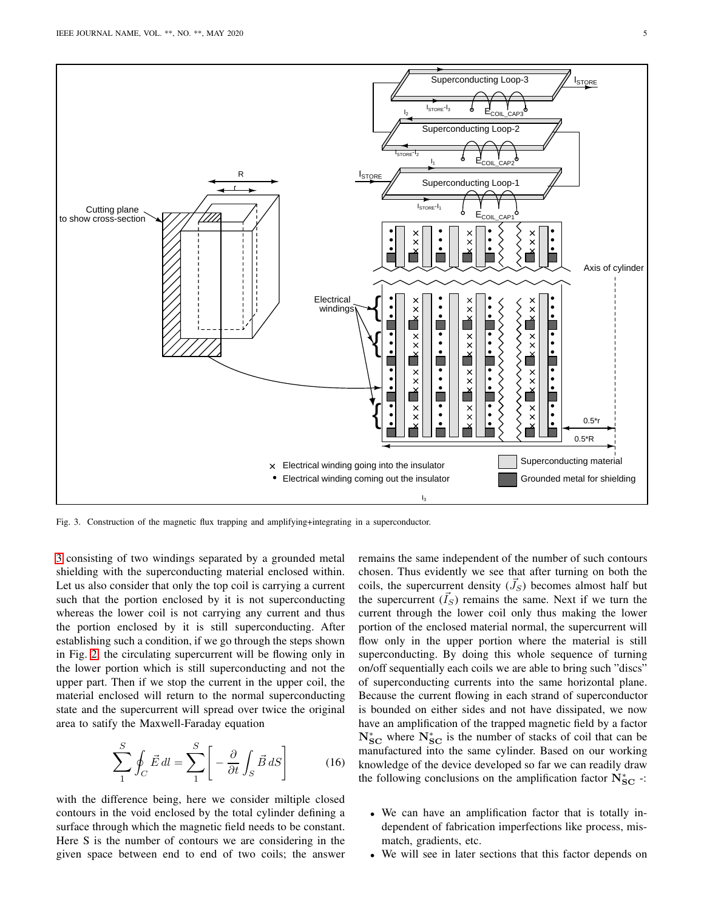

<span id="page-4-0"></span>Fig. 3. Construction of the magnetic flux trapping and amplifying+integrating in a superconductor.

[3](#page-4-0) consisting of two windings separated by a grounded metal shielding with the superconducting material enclosed within. Let us also consider that only the top coil is carrying a current such that the portion enclosed by it is not superconducting whereas the lower coil is not carrying any current and thus the portion enclosed by it is still superconducting. After establishing such a condition, if we go through the steps shown in Fig. [2,](#page-3-0) the circulating supercurrent will be flowing only in the lower portion which is still superconducting and not the upper part. Then if we stop the current in the upper coil, the material enclosed will return to the normal superconducting state and the supercurrent will spread over twice the original area to satify the Maxwell-Faraday equation

$$
\sum_{1}^{S} \oint_{C} \vec{E} \, dl = \sum_{1}^{S} \left[ -\frac{\partial}{\partial t} \int_{S} \vec{B} \, dS \right] \tag{16}
$$

with the difference being, here we consider miltiple closed contours in the void enclosed by the total cylinder defining a surface through which the magnetic field needs to be constant. Here S is the number of contours we are considering in the given space between end to end of two coils; the answer remains the same independent of the number of such contours chosen. Thus evidently we see that after turning on both the coils, the supercurrent density  $(\vec{J}_S)$  becomes almost half but the supercurrent  $(\tilde{I}_S)$  remains the same. Next if we turn the current through the lower coil only thus making the lower portion of the enclosed material normal, the supercurrent will flow only in the upper portion where the material is still superconducting. By doing this whole sequence of turning on/off sequentially each coils we are able to bring such "discs" of superconducting currents into the same horizontal plane. Because the current flowing in each strand of superconductor is bounded on either sides and not have dissipated, we now have an amplification of the trapped magnetic field by a factor  $N_{SC}^{*}$  where  $N_{SC}^{*}$  is the number of stacks of coil that can be manufactured into the same cylinder. Based on our working knowledge of the device developed so far we can readily draw the following conclusions on the amplification factor  $\dot{N}_{SC}^*$  -:

- We can have an amplification factor that is totally independent of fabrication imperfections like process, mismatch, gradients, etc.
- We will see in later sections that this factor depends on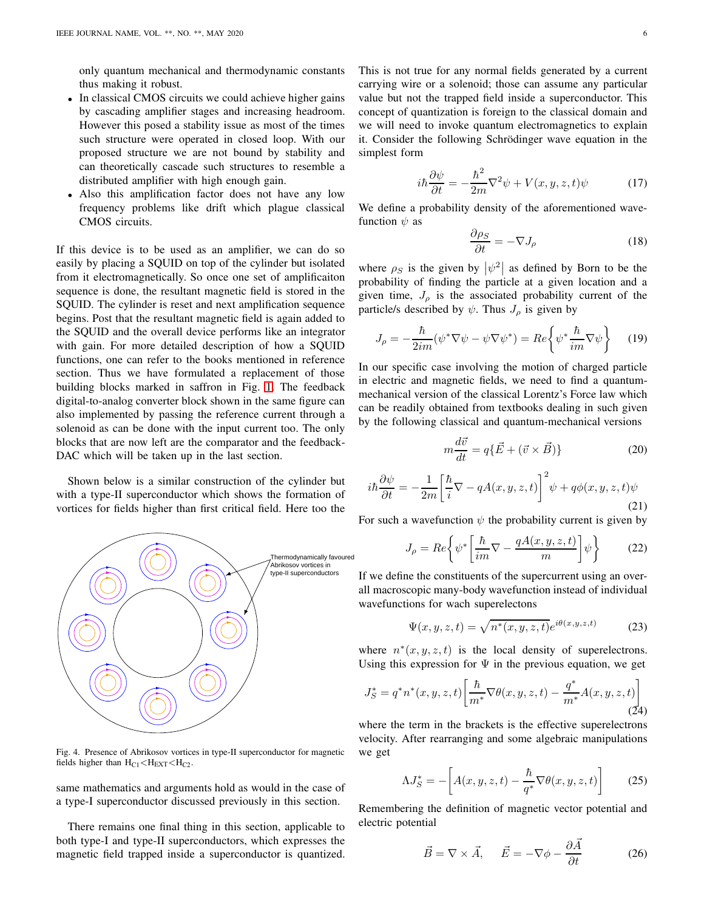only quantum mechanical and thermodynamic constants thus making it robust.

- In classical CMOS circuits we could achieve higher gains by cascading amplifier stages and increasing headroom. However this posed a stability issue as most of the times such structure were operated in closed loop. With our proposed structure we are not bound by stability and can theoretically cascade such structures to resemble a distributed amplifier with high enough gain.
- Also this amplification factor does not have any low frequency problems like drift which plague classical CMOS circuits.

If this device is to be used as an amplifier, we can do so easily by placing a SQUID on top of the cylinder but isolated from it electromagnetically. So once one set of amplificaiton sequence is done, the resultant magnetic field is stored in the SQUID. The cylinder is reset and next amplification sequence begins. Post that the resultant magnetic field is again added to the SQUID and the overall device performs like an integrator with gain. For more detailed description of how a SQUID functions, one can refer to the books mentioned in reference section. Thus we have formulated a replacement of those building blocks marked in saffron in Fig. [1.](#page-2-0) The feedback digital-to-analog converter block shown in the same figure can also implemented by passing the reference current through a solenoid as can be done with the input current too. The only blocks that are now left are the comparator and the feedback-DAC which will be taken up in the last section.

Shown below is a similar construction of the cylinder but with a type-II superconductor which shows the formation of vortices for fields higher than first critical field. Here too the



Fig. 4. Presence of Abrikosov vortices in type-II superconductor for magnetic fields higher than  $H_{C1}$  <  $H_{EXT}$  <  $H_{C2}$ .

same mathematics and arguments hold as would in the case of a type-I superconductor discussed previously in this section.

There remains one final thing in this section, applicable to both type-I and type-II superconductors, which expresses the magnetic field trapped inside a superconductor is quantized. This is not true for any normal fields generated by a current carrying wire or a solenoid; those can assume any particular value but not the trapped field inside a superconductor. This concept of quantization is foreign to the classical domain and we will need to invoke quantum electromagnetics to explain it. Consider the following Schrödinger wave equation in the simplest form

$$
i\hbar \frac{\partial \psi}{\partial t} = -\frac{\hbar^2}{2m} \nabla^2 \psi + V(x, y, z, t)\psi \tag{17}
$$

We define a probability density of the aforementioned wavefunction  $\psi$  as

$$
\frac{\partial \rho_S}{\partial t} = -\nabla J_\rho \tag{18}
$$

where  $\rho_S$  is the given by  $|\psi^2|$  as defined by Born to be the probability of finding the particle at a given location and a given time,  $J_{\rho}$  is the associated probability current of the particle/s described by  $\psi$ . Thus  $J_{\rho}$  is given by

$$
J_{\rho} = -\frac{\hbar}{2im}(\psi^* \nabla \psi - \psi \nabla \psi^*) = Re \left\{ \psi^* \frac{\hbar}{im} \nabla \psi \right\} \tag{19}
$$

In our specific case involving the motion of charged particle in electric and magnetic fields, we need to find a quantummechanical version of the classical Lorentz's Force law which can be readily obtained from textbooks dealing in such given by the following classical and quantum-mechanical versions

 $\eta$ 

$$
i\frac{d\vec{v}}{dt} = q\{\vec{E} + (\vec{v} \times \vec{B})\}
$$
 (20)

$$
i\hbar\frac{\partial\psi}{\partial t} = -\frac{1}{2m} \left[ \frac{\hbar}{i} \nabla - qA(x, y, z, t) \right]^2 \psi + q\phi(x, y, z, t)\psi
$$
\n(21)

For such a wavefunction  $\psi$  the probability current is given by

$$
J_{\rho} = Re \left\{ \psi^* \left[ \frac{\hbar}{im} \nabla - \frac{qA(x, y, z, t)}{m} \right] \psi \right\}
$$
 (22)

If we define the constituents of the supercurrent using an overall macroscopic many-body wavefunction instead of individual wavefunctions for wach superelectons

$$
\Psi(x, y, z, t) = \sqrt{n^*(x, y, z, t)} e^{i\theta(x, y, z, t)}
$$
(23)

where  $n^*(x, y, z, t)$  is the local density of superelectrons. Using this expression for  $\Psi$  in the previous equation, we get

$$
J_S^* = q^* n^*(x, y, z, t) \left[ \frac{\hbar}{m^*} \nabla \theta(x, y, z, t) - \frac{q^*}{m^*} A(x, y, z, t) \right]
$$
(24)

where the term in the brackets is the effective superelectrons velocity. After rearranging and some algebraic manipulations we get

$$
\Lambda J_S^* = -\left[ A(x, y, z, t) - \frac{\hbar}{q^*} \nabla \theta(x, y, z, t) \right]
$$
 (25)

Remembering the definition of magnetic vector potential and electric potential

$$
\vec{B} = \nabla \times \vec{A}, \quad \vec{E} = -\nabla \phi - \frac{\partial \vec{A}}{\partial t}
$$
 (26)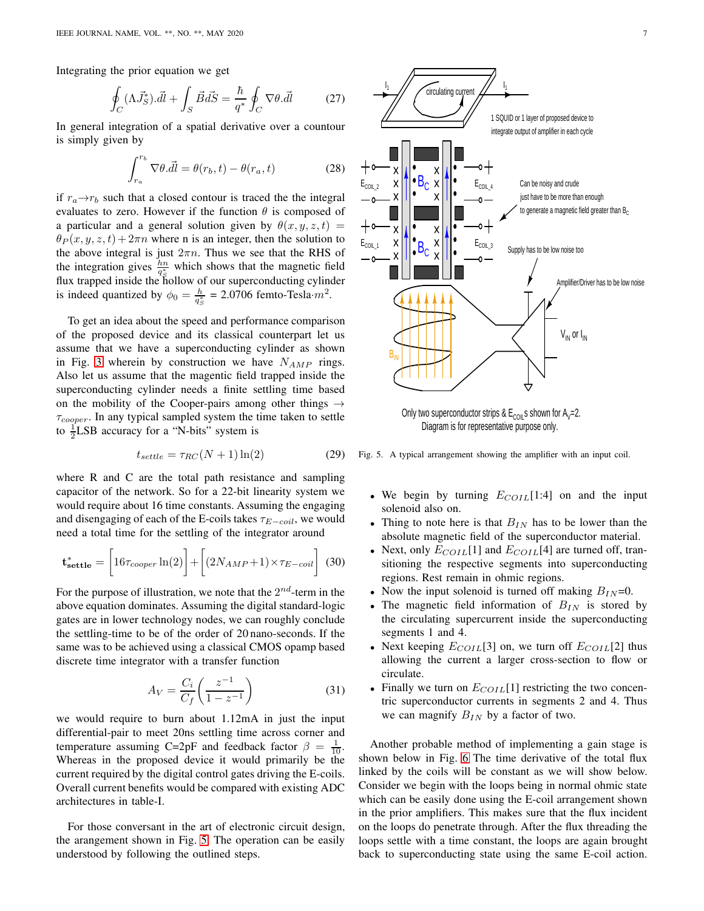Integrating the prior equation we get

$$
\oint_C (\Lambda \vec{J}_S^*) \cdot d\vec{l} + \int_S \vec{B} \cdot d\vec{S} = \frac{\hbar}{q^*} \oint_C \nabla \theta \cdot d\vec{l} \tag{27}
$$

In general integration of a spatial derivative over a countour is simply given by

$$
\int_{r_a}^{r_b} \nabla \theta. \vec{dl} = \theta(r_b, t) - \theta(r_a, t)
$$
\n(28)

if  $r_a \rightarrow r_b$  such that a closed contour is traced the the integral evaluates to zero. However if the function  $\theta$  is composed of a particular and a general solution given by  $\theta(x, y, z, t) =$  $\theta_P(x, y, z, t) + 2\pi n$  where n is an integer, then the solution to the above integral is just  $2\pi n$ . Thus we see that the RHS of the integration gives  $\frac{hn}{q_{\mathcal{S}}^*}$  which shows that the magnetic field flux trapped inside the hollow of our superconducting cylinder is indeed quantized by  $\phi_0 = \frac{h}{q_s^*} = 2.0706$  femto-Tesla· $m^2$ .

To get an idea about the speed and performance comparison of the proposed device and its classical counterpart let us assume that we have a superconducting cylinder as shown in Fig. [3](#page-4-0) wherein by construction we have  $N_{AMP}$  rings. Also let us assume that the magentic field trapped inside the superconducting cylinder needs a finite settling time based on the mobility of the Cooper-pairs among other things  $\rightarrow$  $\tau_{cooper}$ . In any typical sampled system the time taken to settle to  $\frac{1}{2}$ LSB accuracy for a "N-bits" system is

$$
t_{settle} = \tau_{RC}(N+1)\ln(2) \tag{29}
$$

where R and C are the total path resistance and sampling capacitor of the network. So for a 22-bit linearity system we would require about 16 time constants. Assuming the engaging and disengaging of each of the E-coils takes  $\tau_{E-coil}$ , we would need a total time for the settling of the integrator around

$$
\mathbf{t}_{\textbf{settle}}^* = \left[16\tau_{cooper} \ln(2)\right] + \left[ (2N_{AMP} + 1) \times \tau_{E-coil} \right] (30)
$$

For the purpose of illustration, we note that the  $2^{nd}$ -term in the above equation dominates. Assuming the digital standard-logic gates are in lower technology nodes, we can roughly conclude the settling-time to be of the order of 20 nano-seconds. If the same was to be achieved using a classical CMOS opamp based discrete time integrator with a transfer function

$$
A_V = \frac{C_i}{C_f} \left( \frac{z^{-1}}{1 - z^{-1}} \right)
$$
 (31)

we would require to burn about 1.12mA in just the input differential-pair to meet 20ns settling time across corner and temperature assuming C=2pF and feedback factor  $\beta = \frac{1}{10}$ . Whereas in the proposed device it would primarily be the current required by the digital control gates driving the E-coils. Overall current benefits would be compared with existing ADC architectures in table-I.

For those conversant in the art of electronic circuit design, the arangement shown in Fig. [5.](#page-6-0) The operation can be easily understood by following the outlined steps.



Diagram is for representative purpose only.

Fig. 5. A typical arrangement showing the amplifier with an input coil.

- <span id="page-6-0"></span>• We begin by turning  $E_{COLL}[1:4]$  on and the input solenoid also on.
- Thing to note here is that  $B_{IN}$  has to be lower than the absolute magnetic field of the superconductor material.
- Next, only  $E_{COLL}[1]$  and  $E_{COLL}[4]$  are turned off, transitioning the respective segments into superconducting regions. Rest remain in ohmic regions.
- Now the input solenoid is turned off making  $B_{IN}=0$ .
- The magnetic field information of  $B_{IN}$  is stored by the circulating supercurrent inside the superconducting segments 1 and 4.
- Next keeping  $E_{COLI}$ [3] on, we turn off  $E_{COLI}$ [2] thus allowing the current a larger cross-section to flow or circulate.
- Finally we turn on  $E_{COLL}[1]$  restricting the two concentric superconductor currents in segments 2 and 4. Thus we can magnify  $B_{IN}$  by a factor of two.

Another probable method of implementing a gain stage is shown below in Fig. [6](#page-7-0) The time derivative of the total flux linked by the coils will be constant as we will show below. Consider we begin with the loops being in normal ohmic state which can be easily done using the E-coil arrangement shown in the prior amplifiers. This makes sure that the flux incident on the loops do penetrate through. After the flux threading the loops settle with a time constant, the loops are again brought back to superconducting state using the same E-coil action.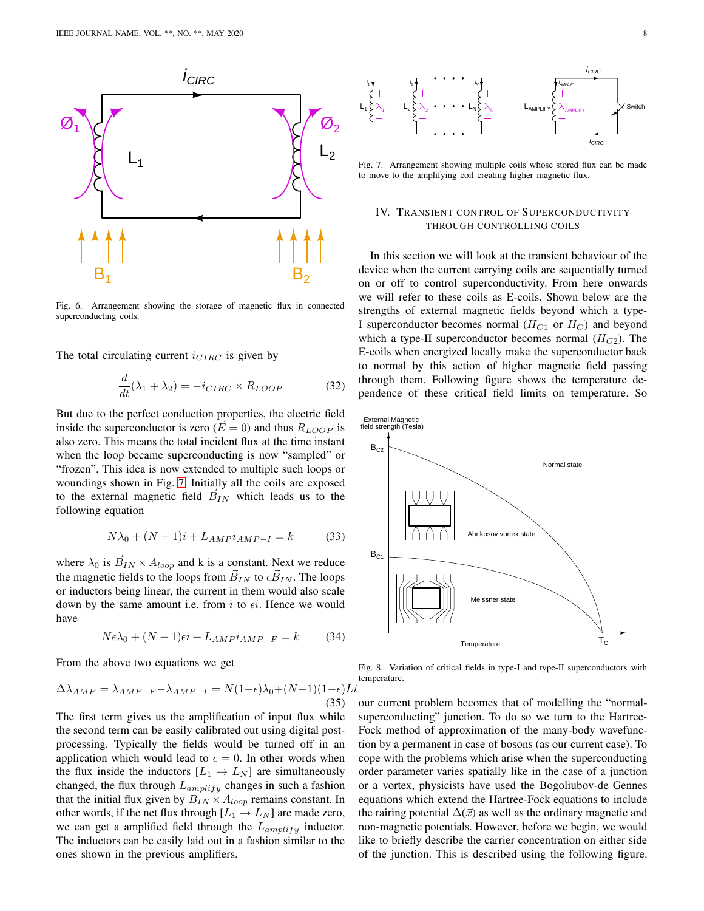

<span id="page-7-0"></span>Fig. 6. Arrangement showing the storage of magnetic flux in connected superconducting coils.

The total circulating current  $i_{CIRC}$  is given by

$$
\frac{d}{dt}(\lambda_1 + \lambda_2) = -i_{CIRC} \times R_{LOOP}
$$
 (32)

But due to the perfect conduction properties, the electric field inside the superconductor is zero  $(E = 0)$  and thus  $R_{LOOP}$  is also zero. This means the total incident flux at the time instant when the loop became superconducting is now "sampled" or "frozen". This idea is now extended to multiple such loops or woundings shown in Fig. [7.](#page-7-1) Initially all the coils are exposed to the external magnetic field  $\vec{B}_{IN}$  which leads us to the following equation

$$
N\lambda_0 + (N-1)i + L_{AMP}i_{AMP-I} = k \tag{33}
$$

where  $\lambda_0$  is  $\vec{B}_{IN} \times A_{loop}$  and k is a constant. Next we reduce the magnetic fields to the loops from  $\vec{B}_{IN}$  to  $\epsilon \vec{B}_{IN}$ . The loops or inductors being linear, the current in them would also scale down by the same amount i.e. from i to  $\epsilon i$ . Hence we would have

$$
N\epsilon\lambda_0 + (N-1)\epsilon i + L_{AMP}i_{AMP-F} = k \tag{34}
$$

From the above two equations we get

$$
\Delta \lambda_{AMP} = \lambda_{AMP-F} - \lambda_{AMP-I} = N(1-\epsilon)\lambda_0 + (N-1)(1-\epsilon)Li
$$
\n(35)

The first term gives us the amplification of input flux while the second term can be easily calibrated out using digital postprocessing. Typically the fields would be turned off in an application which would lead to  $\epsilon = 0$ . In other words when the flux inside the inductors  $[L_1 \rightarrow L_N]$  are simultaneously changed, the flux through  $L_{amply}$  changes in such a fashion that the initial flux given by  $B_{IN} \times A_{loop}$  remains constant. In other words, if the net flux through  $[L_1 \rightarrow L_N]$  are made zero, we can get a amplified field through the  $L_{amply}$  inductor. The inductors can be easily laid out in a fashion similar to the ones shown in the previous amplifiers.



<span id="page-7-1"></span>Fig. 7. Arrangement showing multiple coils whose stored flux can be made to move to the amplifying coil creating higher magnetic flux.

## IV. TRANSIENT CONTROL OF SUPERCONDUCTIVITY THROUGH CONTROLLING COILS

In this section we will look at the transient behaviour of the device when the current carrying coils are sequentially turned on or off to control superconductivity. From here onwards we will refer to these coils as E-coils. Shown below are the strengths of external magnetic fields beyond which a type-I superconductor becomes normal  $(H_{C1}$  or  $H_C)$  and beyond which a type-II superconductor becomes normal  $(H_{C2})$ . The E-coils when energized locally make the superconductor back to normal by this action of higher magnetic field passing through them. Following figure shows the temperature dependence of these critical field limits on temperature. So



Fig. 8. Variation of critical fields in type-I and type-II superconductors with temperature.

our current problem becomes that of modelling the "normalsuperconducting" junction. To do so we turn to the Hartree-Fock method of approximation of the many-body wavefunction by a permanent in case of bosons (as our current case). To cope with the problems which arise when the superconducting order parameter varies spatially like in the case of a junction or a vortex, physicists have used the Bogoliubov-de Gennes equations which extend the Hartree-Fock equations to include the rairing potential  $\Delta(\vec{x})$  as well as the ordinary magnetic and non-magnetic potentials. However, before we begin, we would like to briefly describe the carrier concentration on either side of the junction. This is described using the following figure.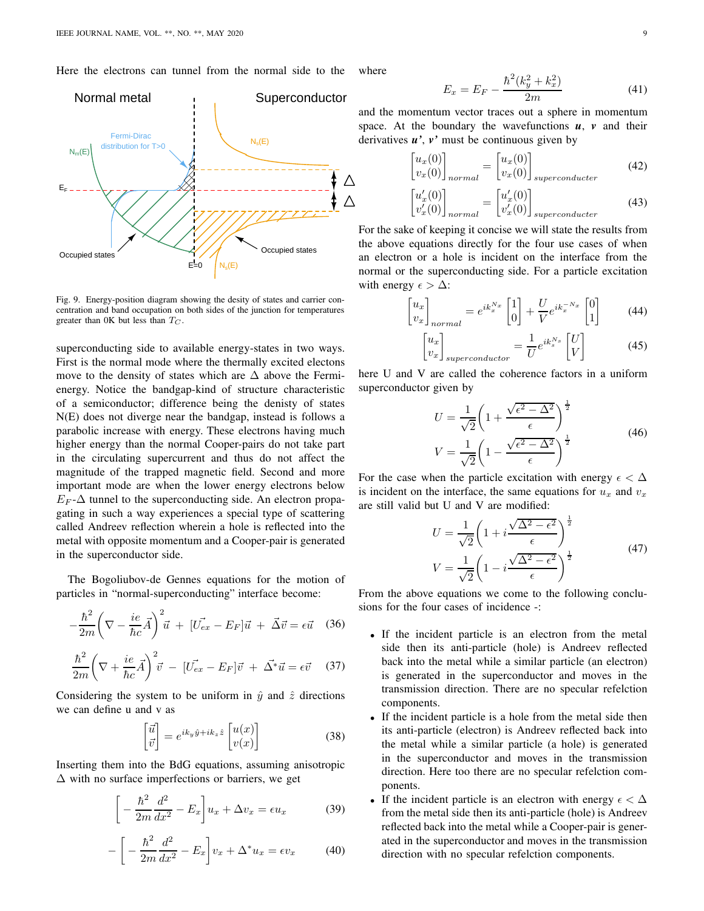Here the electrons can tunnel from the normal side to the where



Fig. 9. Energy-position diagram showing the desity of states and carrier concentration and band occupation on both sides of the junction for temperatures greater than 0K but less than  $T_C$ .

superconducting side to available energy-states in two ways. First is the normal mode where the thermally excited electons move to the density of states which are  $\Delta$  above the Fermienergy. Notice the bandgap-kind of structure characteristic of a semiconductor; difference being the denisty of states N(E) does not diverge near the bandgap, instead is follows a parabolic increase with energy. These electrons having much higher energy than the normal Cooper-pairs do not take part in the circulating supercurrent and thus do not affect the magnitude of the trapped magnetic field. Second and more important mode are when the lower energy electrons below  $E_F$ - $\Delta$  tunnel to the superconducting side. An electron propagating in such a way experiences a special type of scattering called Andreev reflection wherein a hole is reflected into the metal with opposite momentum and a Cooper-pair is generated in the superconductor side.

The Bogoliubov-de Gennes equations for the motion of particles in "normal-superconducting" interface become:

$$
-\frac{\hbar^2}{2m}\left(\nabla - \frac{ie}{\hbar c}\vec{A}\right)^2\vec{u} + [\vec{U_{ex}} - E_F]\vec{u} + \vec{\Delta}\vec{v} = \epsilon \vec{u} \quad (36)
$$

$$
\frac{\hbar^2}{2m} \left( \nabla + \frac{ie}{\hbar c} \vec{A} \right)^2 \vec{v} - \left[ \vec{U_{ex}} - E_F \right] \vec{v} + \vec{\Delta^*} \vec{u} = \epsilon \vec{v} \quad (37)
$$

Considering the system to be uniform in  $\hat{y}$  and  $\hat{z}$  directions we can define u and v as

$$
\begin{bmatrix} \vec{u} \\ \vec{v} \end{bmatrix} = e^{ik_y \hat{y} + ik_z \hat{z}} \begin{bmatrix} u(x) \\ v(x) \end{bmatrix}
$$
 (38)

Inserting them into the BdG equations, assuming anisotropic ∆ with no surface imperfections or barriers, we get

$$
\left[ -\frac{\hbar^2}{2m} \frac{d^2}{dx^2} - E_x \right] u_x + \Delta v_x = \epsilon u_x \tag{39}
$$

$$
-\left[-\frac{\hbar^2}{2m}\frac{d^2}{dx^2} - E_x\right]v_x + \Delta^* u_x = \epsilon v_x \tag{40}
$$

ſ

$$
E_x = E_F - \frac{\hbar^2 (k_y^2 + k_x^2)}{2m} \tag{41}
$$

and the momentum vector traces out a sphere in momentum space. At the boundary the wavefunctions  $u$ ,  $v$  and their derivatives  $u'$ ,  $v'$  must be continuous given by

$$
\begin{bmatrix} u_x(0) \\ v_x(0) \end{bmatrix}_{normal} = \begin{bmatrix} u_x(0) \\ v_x(0) \end{bmatrix}_{superconductor}
$$
 (42)

$$
\begin{bmatrix} u'_x(0) \\ v'_x(0) \end{bmatrix}_{normal} = \begin{bmatrix} u'_x(0) \\ v'_x(0) \end{bmatrix}_{superconductor}
$$
 (43)

For the sake of keeping it concise we will state the results from the above equations directly for the four use cases of when an electron or a hole is incident on the interface from the normal or the superconducting side. For a particle excitation with energy  $\epsilon > \Delta$ :

$$
\begin{bmatrix} u_x \\ v_x \end{bmatrix}_{normal} = e^{ik_x^{N_x}} \begin{bmatrix} 1 \\ 0 \end{bmatrix} + \frac{U}{V} e^{ik_x^{-N_x}} \begin{bmatrix} 0 \\ 1 \end{bmatrix} \tag{44}
$$

$$
\begin{bmatrix} u_x \\ v_x \end{bmatrix}_{superconductor} = \frac{1}{U} e^{ik_s^{Ns}} \begin{bmatrix} U \\ V \end{bmatrix}
$$
 (45)

here U and V are called the coherence factors in a uniform superconductor given by

$$
U = \frac{1}{\sqrt{2}} \left( 1 + \frac{\sqrt{\epsilon^2 - \Delta^2}}{\epsilon} \right)^{\frac{1}{2}}
$$
  

$$
V = \frac{1}{\sqrt{2}} \left( 1 - \frac{\sqrt{\epsilon^2 - \Delta^2}}{\epsilon} \right)^{\frac{1}{2}}
$$
(46)

For the case when the particle excitation with energy  $\epsilon < \Delta$ is incident on the interface, the same equations for  $u_x$  and  $v_x$ are still valid but U and V are modified:

$$
U = \frac{1}{\sqrt{2}} \left( 1 + i \frac{\sqrt{\Delta^2 - \epsilon^2}}{\epsilon} \right)^{\frac{1}{2}}
$$
  
\n
$$
V = \frac{1}{\sqrt{2}} \left( 1 - i \frac{\sqrt{\Delta^2 - \epsilon^2}}{\epsilon} \right)^{\frac{1}{2}}
$$
(47)

From the above equations we come to the following conclusions for the four cases of incidence -:

- If the incident particle is an electron from the metal side then its anti-particle (hole) is Andreev reflected back into the metal while a similar particle (an electron) is generated in the superconductor and moves in the transmission direction. There are no specular refelction components.
- If the incident particle is a hole from the metal side then its anti-particle (electron) is Andreev reflected back into the metal while a similar particle (a hole) is generated in the superconductor and moves in the transmission direction. Here too there are no specular refelction components.
- If the incident particle is an electron with energy  $\epsilon < \Delta$ from the metal side then its anti-particle (hole) is Andreev reflected back into the metal while a Cooper-pair is generated in the superconductor and moves in the transmission direction with no specular refelction components.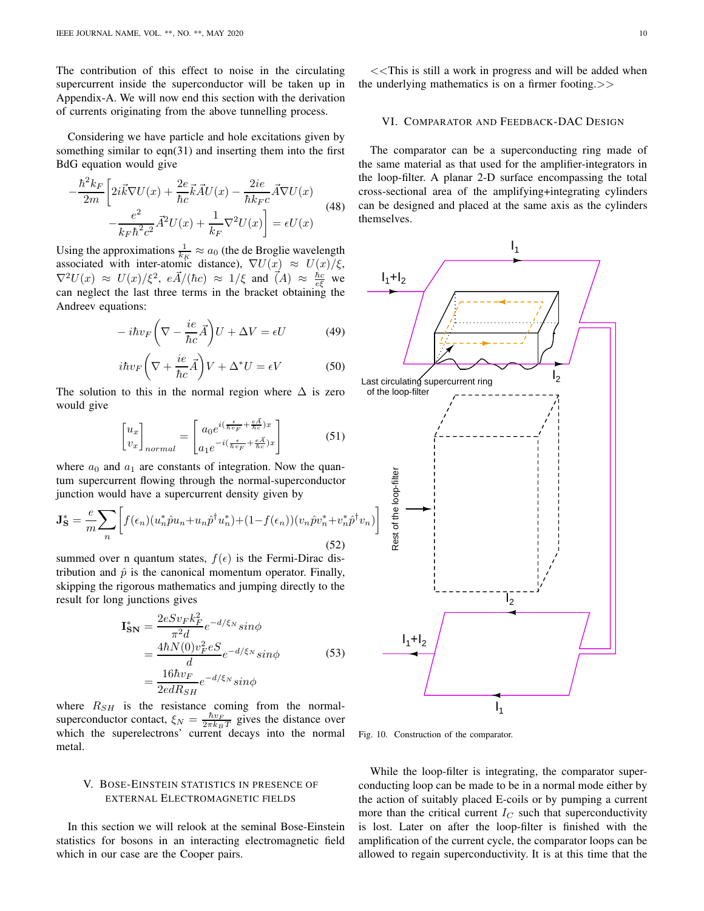The contribution of this effect to noise in the circulating supercurrent inside the superconductor will be taken up in Appendix-A. We will now end this section with the derivation of currents originating from the above tunnelling process.

Considering we have particle and hole excitations given by something similar to eqn(31) and inserting them into the first BdG equation would give

$$
-\frac{\hbar^2 k_F}{2m} \left[ 2i\vec{k}\nabla U(x) + \frac{2e}{\hbar c}\vec{k}\vec{A}U(x) - \frac{2ie}{\hbar k_F c}\vec{A}\nabla U(x) - \frac{e^2}{k_F \hbar^2 c^2}\vec{A}^2 U(x) + \frac{1}{k_F} \nabla^2 U(x) \right] = \epsilon U(x)
$$
\n(48)

Using the approximations  $\frac{1}{k_K} \approx a_0$  (the de Broglie wavelength associated with inter-atomic distance),  $\nabla U(x) \approx U(x)/\xi$ ,  $\nabla^2 U(x) \approx U(x)/\xi^2$ ,  $e\vec{A}/(\hbar c) \approx 1/\xi$  and  $\vec{A}$ )  $\approx \frac{\hbar c}{e\xi}$  we can neglect the last three terms in the bracket obtaining the Andreev equations:

$$
-i\hbar v_F \left(\nabla - \frac{ie}{\hbar c}\vec{A}\right)U + \Delta V = \epsilon U \tag{49}
$$

$$
i\hbar v_F \left(\nabla + \frac{ie}{\hbar c}\vec{A}\right) V + \Delta^* U = \epsilon V \tag{50}
$$

The solution to this in the normal region where  $\Delta$  is zero would give

$$
\begin{bmatrix} u_x \\ v_x \end{bmatrix}_{normal} = \begin{bmatrix} a_0 e^{i(\frac{\epsilon}{\hbar v_F} + \frac{e\vec{A}}{\hbar c})x} \\ a_1 e^{-i(\frac{\epsilon}{\hbar v_F} + \frac{e\vec{A}}{\hbar c})x} \end{bmatrix}
$$
 (51)

where  $a_0$  and  $a_1$  are constants of integration. Now the quantum supercurrent flowing through the normal-superconductor junction would have a supercurrent density given by

$$
\mathbf{J}_{\mathbf{S}}^* = \frac{e}{m} \sum_n \left[ f(\epsilon_n) (u_n^* \hat{p} u_n + u_n \hat{p}^\dagger u_n^*) + (1 - f(\epsilon_n)) (v_n \hat{p} v_n^* + v_n^* \hat{p}^\dagger v_n) \right]
$$
(52)

summed over n quantum states,  $f(\epsilon)$  is the Fermi-Dirac distribution and  $\hat{p}$  is the canonical momentum operator. Finally, skipping the rigorous mathematics and jumping directly to the result for long junctions gives

$$
\mathbf{I}_{\mathbf{SN}}^* = \frac{2eSv_Fk_F^2}{\pi^2 d}e^{-d/\xi_N}\sin\phi
$$
  
= 
$$
\frac{4\hbar N(0)v_F^2 eS}{d}e^{-d/\xi_N}\sin\phi
$$
(53)  
= 
$$
\frac{16\hbar v_F}{2edR_{SH}}e^{-d/\xi_N}\sin\phi
$$

where  $R_{SH}$  is the resistance coming from the normalsuperconductor contact,  $\xi_N = \frac{\hbar v_F}{2\pi k_B T}$  gives the distance over which the superelectrons' current decays into the normal metal.

## V. BOSE-EINSTEIN STATISTICS IN PRESENCE OF EXTERNAL ELECTROMAGNETIC FIELDS

In this section we will relook at the seminal Bose-Einstein statistics for bosons in an interacting electromagnetic field which in our case are the Cooper pairs.

<<This is still a work in progress and will be added when the underlying mathematics is on a firmer footing.>>

#### VI. COMPARATOR AND FEEDBACK-DAC DESIGN

The comparator can be a superconducting ring made of the same material as that used for the amplifier-integrators in the loop-filter. A planar 2-D surface encompassing the total cross-sectional area of the amplifying+integrating cylinders can be designed and placed at the same axis as the cylinders themselves.



<span id="page-9-0"></span>Fig. 10. Construction of the comparator.

While the loop-filter is integrating, the comparator superconducting loop can be made to be in a normal mode either by the action of suitably placed E-coils or by pumping a current more than the critical current  $I_C$  such that superconductivity is lost. Later on after the loop-filter is finished with the amplification of the current cycle, the comparator loops can be allowed to regain superconductivity. It is at this time that the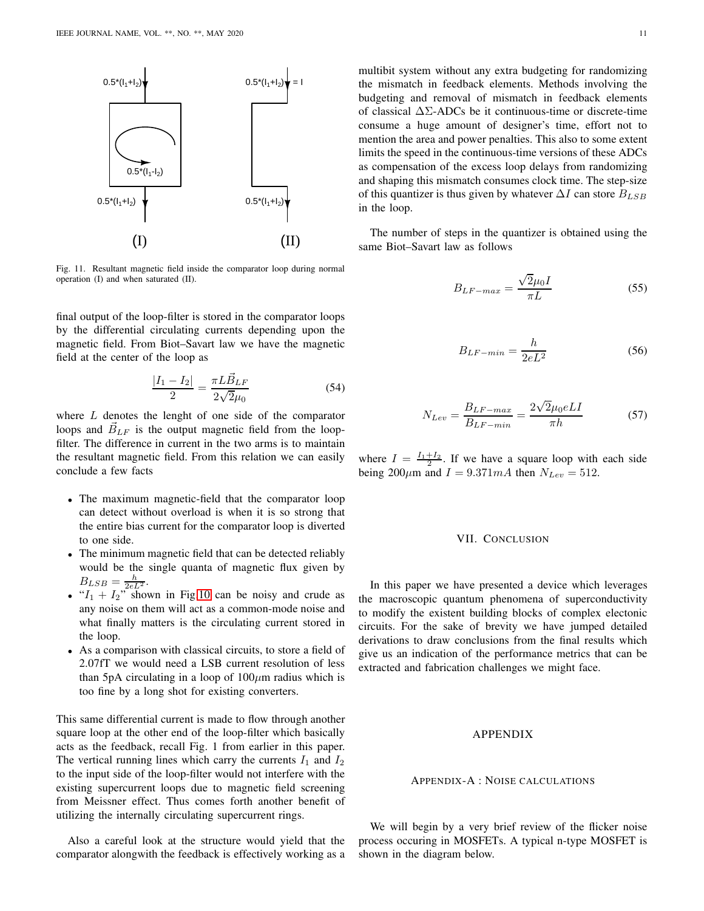

Fig. 11. Resultant magnetic field inside the comparator loop during normal operation (I) and when saturated (II).

final output of the loop-filter is stored in the comparator loops by the differential circulating currents depending upon the magnetic field. From Biot–Savart law we have the magnetic field at the center of the loop as

$$
\frac{|I_1 - I_2|}{2} = \frac{\pi L \vec{B}_{LF}}{2\sqrt{2}\mu_0}
$$
 (54)

where  $L$  denotes the lenght of one side of the comparator loops and  $\vec{B}_{LF}$  is the output magnetic field from the loopfilter. The difference in current in the two arms is to maintain the resultant magnetic field. From this relation we can easily conclude a few facts

- The maximum magnetic-field that the comparator loop can detect without overload is when it is so strong that the entire bias current for the comparator loop is diverted to one side.
- The minimum magnetic field that can be detected reliably would be the single quanta of magnetic flux given by  $B_{LSB} = \frac{h}{2eL^2}.$
- $I_1 + I_2$ " shown in Fig[.10](#page-9-0) can be noisy and crude as any noise on them will act as a common-mode noise and what finally matters is the circulating current stored in the loop.
- As a comparison with classical circuits, to store a field of 2.07fT we would need a LSB current resolution of less than 5pA circulating in a loop of  $100 \mu m$  radius which is too fine by a long shot for existing converters.

This same differential current is made to flow through another square loop at the other end of the loop-filter which basically acts as the feedback, recall Fig. 1 from earlier in this paper. The vertical running lines which carry the currents  $I_1$  and  $I_2$ to the input side of the loop-filter would not interfere with the existing supercurrent loops due to magnetic field screening from Meissner effect. Thus comes forth another benefit of utilizing the internally circulating supercurrent rings.

Also a careful look at the structure would yield that the comparator alongwith the feedback is effectively working as a

multibit system without any extra budgeting for randomizing the mismatch in feedback elements. Methods involving the budgeting and removal of mismatch in feedback elements of classical ∆Σ-ADCs be it continuous-time or discrete-time consume a huge amount of designer's time, effort not to mention the area and power penalties. This also to some extent limits the speed in the continuous-time versions of these ADCs as compensation of the excess loop delays from randomizing and shaping this mismatch consumes clock time. The step-size of this quantizer is thus given by whatever  $\Delta I$  can store  $B_{LSB}$ in the loop.

The number of steps in the quantizer is obtained using the same Biot–Savart law as follows

$$
B_{LF-max} = \frac{\sqrt{2}\mu_0 I}{\pi L} \tag{55}
$$

$$
B_{LF-min} = \frac{h}{2eL^2} \tag{56}
$$

$$
N_{Lev} = \frac{B_{LF-max}}{B_{LF-min}} = \frac{2\sqrt{2}\mu_0 eLI}{\pi h}
$$
 (57)

where  $I = \frac{I_1 + I_2}{2}$ . If we have a square loop with each side being 200 $\mu$ m and  $I = 9.371mA$  then  $N_{Lev} = 512$ .

#### VII. CONCLUSION

In this paper we have presented a device which leverages the macroscopic quantum phenomena of superconductivity to modify the existent building blocks of complex electonic circuits. For the sake of brevity we have jumped detailed derivations to draw conclusions from the final results which give us an indication of the performance metrics that can be extracted and fabrication challenges we might face.

## APPENDIX

#### APPENDIX-A : NOISE CALCULATIONS

We will begin by a very brief review of the flicker noise process occuring in MOSFETs. A typical n-type MOSFET is shown in the diagram below.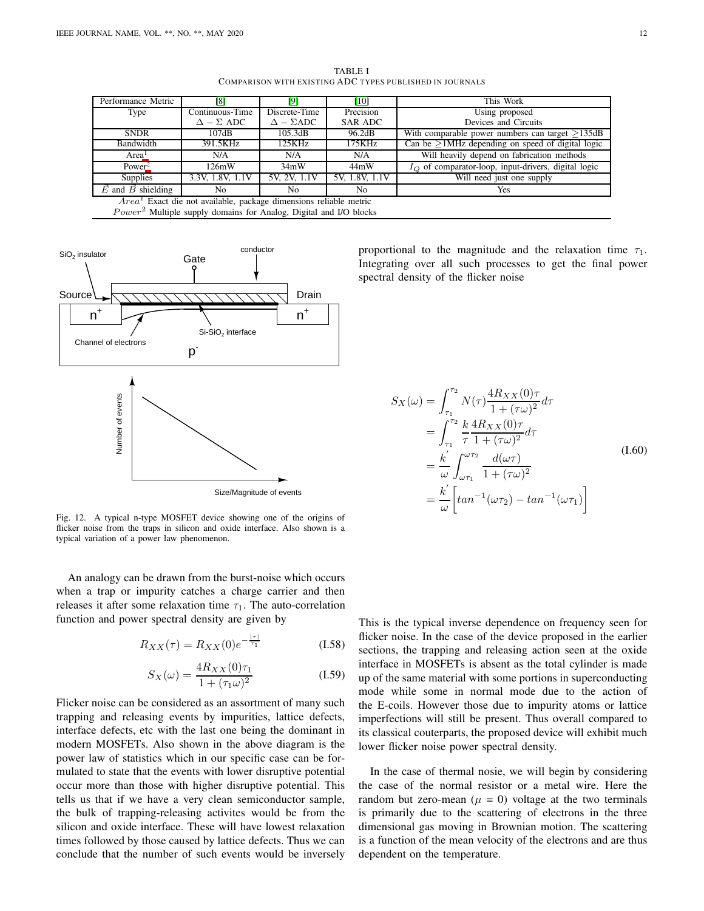TABLE I COMPARISON WITH EXISTING ADC TYPES PUBLISHED IN JOURNALS

| Performance Metric                                                            | [8]                   | [9]                   | [10]           | This Work                                                     |
|-------------------------------------------------------------------------------|-----------------------|-----------------------|----------------|---------------------------------------------------------------|
| Type                                                                          | Continuous-Time       | Discrete-Time         | Precision      | Using proposed                                                |
|                                                                               | $\Delta - \Sigma$ ADC | $\Delta - \Sigma ADC$ | <b>SAR ADC</b> | Devices and Circuits                                          |
| <b>SNDR</b>                                                                   | 107dB                 | 105.3dB               | 96.2dB         | With comparable power numbers can target $>135dB$             |
| Bandwidth                                                                     | 391.5KHz              | 125KHz                | 175KHz         | Can be $\geq$ 1MHz depending on speed of digital logic        |
| Area <sup>1</sup>                                                             | N/A                   | N/A                   | N/A            | Will heavily depend on fabrication methods                    |
| Power <sup>2</sup>                                                            | 126mW                 | 34mW                  | 44mW           | $I_{\Omega}$ of comparator-loop, input-drivers, digital logic |
| <b>Supplies</b>                                                               | 3.3V, 1.8V, 1.1V      | 5V, 2V, 1.1V          | 5V, 1.8V, 1.1V | Will need just one supply                                     |
| $\overrightarrow{E}$ and $\overrightarrow{B}$ shielding                       | No                    | No                    | No             | Yes                                                           |
| $Area1$ Exact die not available, package dimensions reliable metric           |                       |                       |                |                                                               |
| Power <sup>2</sup> Multiple supply domains for Analog, Digital and I/O blocks |                       |                       |                |                                                               |



Fig. 12. A typical n-type MOSFET device showing one of the origins of flicker noise from the traps in silicon and oxide interface. Also shown is a typical variation of a power law phenomenon.

An analogy can be drawn from the burst-noise which occurs when a trap or impurity catches a charge carrier and then releases it after some relaxation time  $\tau_1$ . The auto-correlation function and power spectral density are given by

$$
R_{XX}(\tau) = R_{XX}(0)e^{-\frac{|\tau|}{\tau_1}}
$$
 (I.58)

$$
S_X(\omega) = \frac{4R_{XX}(0)\tau_1}{1 + (\tau_1\omega)^2}
$$
 (I.59)

Flicker noise can be considered as an assortment of many such trapping and releasing events by impurities, lattice defects, interface defects, etc with the last one being the dominant in modern MOSFETs. Also shown in the above diagram is the power law of statistics which in our specific case can be formulated to state that the events with lower disruptive potential occur more than those with higher disruptive potential. This tells us that if we have a very clean semiconductor sample, the bulk of trapping-releasing activites would be from the silicon and oxide interface. These will have lowest relaxation times followed by those caused by lattice defects. Thus we can conclude that the number of such events would be inversely

proportional to the magnitude and the relaxation time  $\tau_1$ . Integrating over all such processes to get the final power spectral density of the flicker noise

$$
S_X(\omega) = \int_{\tau_1}^{\tau_2} N(\tau) \frac{4R_{XX}(0)\tau}{1 + (\tau \omega)^2} d\tau = \int_{\tau_1}^{\tau_2} \frac{k}{\tau} \frac{4R_{XX}(0)\tau}{1 + (\tau \omega)^2} d\tau = \frac{k'}{\omega} \int_{\omega \tau_1}^{\omega \tau_2} \frac{d(\omega \tau)}{1 + (\tau \omega)^2} = \frac{k'}{\omega} \left[ \tan^{-1}(\omega \tau_2) - \tan^{-1}(\omega \tau_1) \right]
$$
(1.60)

This is the typical inverse dependence on frequency seen for flicker noise. In the case of the device proposed in the earlier sections, the trapping and releasing action seen at the oxide interface in MOSFETs is absent as the total cylinder is made up of the same material with some portions in superconducting mode while some in normal mode due to the action of the E-coils. However those due to impurity atoms or lattice imperfections will still be present. Thus overall compared to its classical couterparts, the proposed device will exhibit much lower flicker noise power spectral density.

In the case of thermal nosie, we will begin by considering the case of the normal resistor or a metal wire. Here the random but zero-mean ( $\mu = 0$ ) voltage at the two terminals is primarily due to the scattering of electrons in the three dimensional gas moving in Brownian motion. The scattering is a function of the mean velocity of the electrons and are thus dependent on the temperature.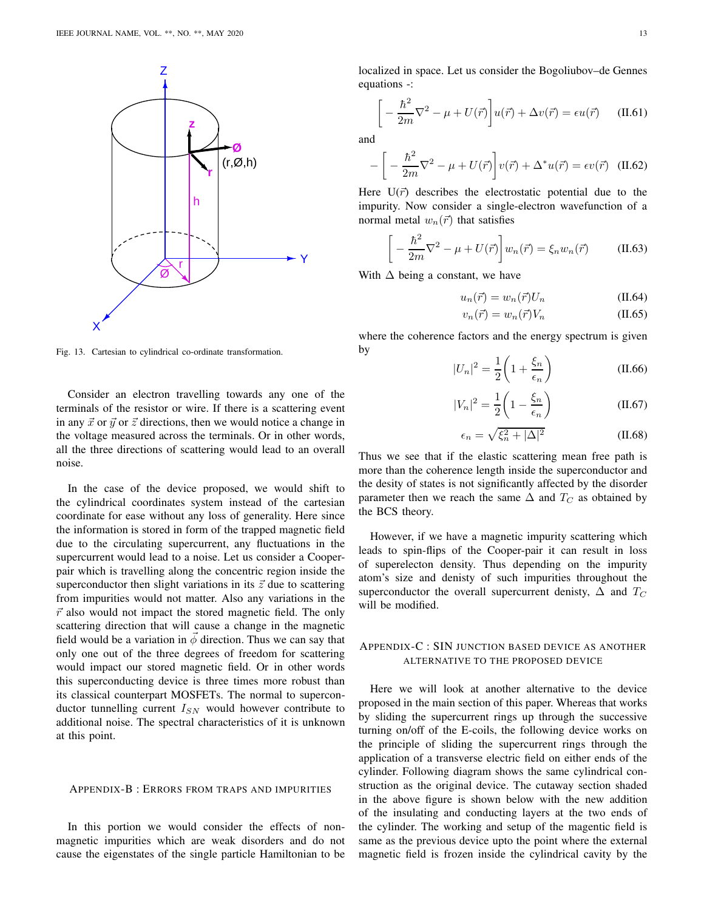

Fig. 13. Cartesian to cylindrical co-ordinate transformation.

Consider an electron travelling towards any one of the terminals of the resistor or wire. If there is a scattering event in any  $\vec{x}$  or  $\vec{y}$  or  $\vec{z}$  directions, then we would notice a change in the voltage measured across the terminals. Or in other words, all the three directions of scattering would lead to an overall noise.

In the case of the device proposed, we would shift to the cylindrical coordinates system instead of the cartesian coordinate for ease without any loss of generality. Here since the information is stored in form of the trapped magnetic field due to the circulating supercurrent, any fluctuations in the supercurrent would lead to a noise. Let us consider a Cooperpair which is travelling along the concentric region inside the superconductor then slight variations in its  $\vec{z}$  due to scattering from impurities would not matter. Also any variations in the  $\vec{r}$  also would not impact the stored magnetic field. The only scattering direction that will cause a change in the magnetic field would be a variation in  $\phi$  direction. Thus we can say that only one out of the three degrees of freedom for scattering would impact our stored magnetic field. Or in other words this superconducting device is three times more robust than its classical counterpart MOSFETs. The normal to superconductor tunnelling current  $I_{SN}$  would however contribute to additional noise. The spectral characteristics of it is unknown at this point.

#### APPENDIX-B : ERRORS FROM TRAPS AND IMPURITIES

In this portion we would consider the effects of nonmagnetic impurities which are weak disorders and do not cause the eigenstates of the single particle Hamiltonian to be

localized in space. Let us consider the Bogoliubov–de Gennes equations -:

$$
\left[ -\frac{\hbar^2}{2m} \nabla^2 - \mu + U(\vec{r}) \right] u(\vec{r}) + \Delta v(\vec{r}) = \epsilon u(\vec{r}) \quad (\text{II.61})
$$

and

$$
-\left[-\frac{\hbar^2}{2m}\nabla^2 - \mu + U(\vec{r})\right]v(\vec{r}) + \Delta^*u(\vec{r}) = \epsilon v(\vec{r}) \quad (II.62)
$$

Here  $U(\vec{r})$  describes the electrostatic potential due to the impurity. Now consider a single-electron wavefunction of a normal metal  $w_n(\vec{r})$  that satisfies

$$
\left[ -\frac{\hbar^2}{2m} \nabla^2 - \mu + U(\vec{r}) \right] w_n(\vec{r}) = \xi_n w_n(\vec{r}) \tag{II.63}
$$

With  $\Delta$  being a constant, we have

$$
u_n(\vec{r}) = w_n(\vec{r})U_n \tag{II.64}
$$

$$
v_n(\vec{r}) = w_n(\vec{r})V_n \tag{II.65}
$$

where the coherence factors and the energy spectrum is given by

$$
|U_n|^2 = \frac{1}{2} \left( 1 + \frac{\xi_n}{\epsilon_n} \right) \tag{II.66}
$$

$$
|V_n|^2 = \frac{1}{2} \left( 1 - \frac{\xi_n}{\epsilon_n} \right) \tag{II.67}
$$

$$
\epsilon_n = \sqrt{\xi_n^2 + |\Delta|^2} \tag{II.68}
$$

Thus we see that if the elastic scattering mean free path is more than the coherence length inside the superconductor and the desity of states is not significantly affected by the disorder parameter then we reach the same  $\Delta$  and  $T_C$  as obtained by the BCS theory.

However, if we have a magnetic impurity scattering which leads to spin-flips of the Cooper-pair it can result in loss of superelecton density. Thus depending on the impurity atom's size and denisty of such impurities throughout the superconductor the overall supercurrent denisty,  $\Delta$  and  $T_C$ will be modified.

## APPENDIX-C : SIN JUNCTION BASED DEVICE AS ANOTHER ALTERNATIVE TO THE PROPOSED DEVICE

Here we will look at another alternative to the device proposed in the main section of this paper. Whereas that works by sliding the supercurrent rings up through the successive turning on/off of the E-coils, the following device works on the principle of sliding the supercurrent rings through the application of a transverse electric field on either ends of the cylinder. Following diagram shows the same cylindrical construction as the original device. The cutaway section shaded in the above figure is shown below with the new addition of the insulating and conducting layers at the two ends of the cylinder. The working and setup of the magentic field is same as the previous device upto the point where the external magnetic field is frozen inside the cylindrical cavity by the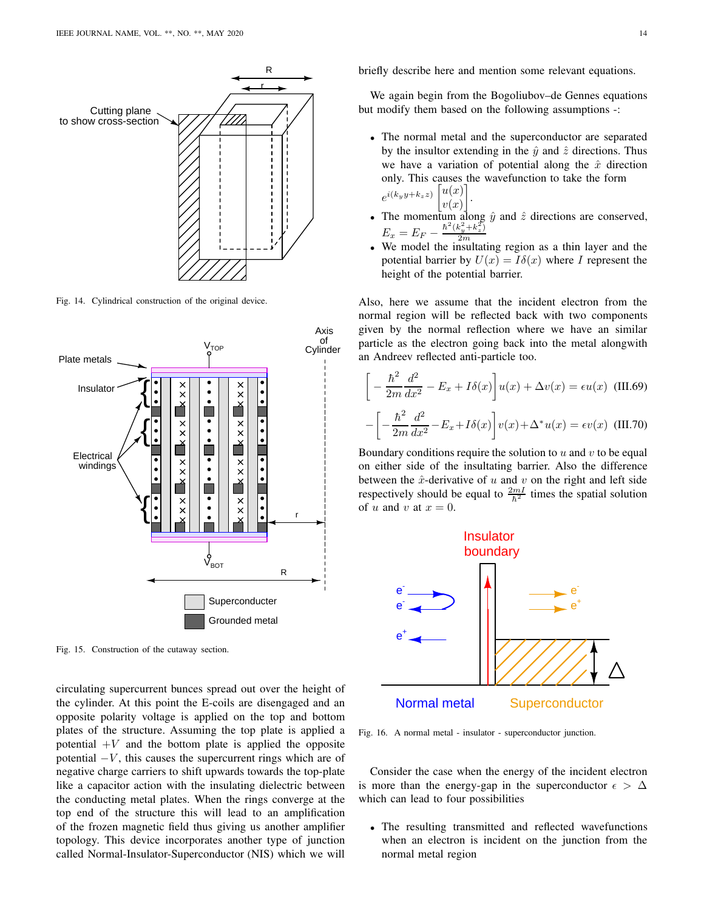

Fig. 14. Cylindrical construction of the original device.



Fig. 15. Construction of the cutaway section.

circulating supercurrent bunces spread out over the height of the cylinder. At this point the E-coils are disengaged and an opposite polarity voltage is applied on the top and bottom plates of the structure. Assuming the top plate is applied a potential  $+V$  and the bottom plate is applied the opposite potential  $-V$ , this causes the supercurrent rings which are of negative charge carriers to shift upwards towards the top-plate like a capacitor action with the insulating dielectric between the conducting metal plates. When the rings converge at the top end of the structure this will lead to an amplification of the frozen magnetic field thus giving us another amplifier topology. This device incorporates another type of junction called Normal-Insulator-Superconductor (NIS) which we will

briefly describe here and mention some relevant equations.

We again begin from the Bogoliubov–de Gennes equations but modify them based on the following assumptions -:

- The normal metal and the superconductor are separated by the insultor extending in the  $\hat{y}$  and  $\hat{z}$  directions. Thus we have a variation of potential along the  $\hat{x}$  direction only. This causes the wavefunction to take the form  $e^{i(k_y y + k_z z)}\left[u(x)\right]$  $v(x)$ .
- The momentum along  $\hat{y}$  and  $\hat{z}$  directions are conserved,  $E_x = E_F - \frac{\hbar^2 (k_y^2 + k_z^2)}{2m}$ 2m
- We model the insultating region as a thin layer and the potential barrier by  $U(x) = I\delta(x)$  where I represent the height of the potential barrier.

Also, here we assume that the incident electron from the normal region will be reflected back with two components given by the normal reflection where we have an similar particle as the electron going back into the metal alongwith an Andreev reflected anti-particle too.

$$
\left[ -\frac{\hbar^2}{2m} \frac{d^2}{dx^2} - E_x + I\delta(x) \right] u(x) + \Delta v(x) = \epsilon u(x) \quad \text{(III.69)}
$$

$$
-\left[ -\frac{\hbar^2}{2m} \frac{d^2}{dx^2} - E_x + I\delta(x) \right] v(x) + \Delta^* u(x) = \epsilon v(x) \quad \text{(III.70)}
$$

Boundary conditions require the solution to  $u$  and  $v$  to be equal on either side of the insultating barrier. Also the difference between the  $\hat{x}$ -derivative of u and v on the right and left side respectively should be equal to  $\frac{2mI}{\hbar^2}$  times the spatial solution of u and v at  $x = 0$ .



Fig. 16. A normal metal - insulator - superconductor junction.

Consider the case when the energy of the incident electron is more than the energy-gap in the superconductor  $\epsilon > \Delta$ which can lead to four possibilities

• The resulting transmitted and reflected wavefunctions when an electron is incident on the junction from the normal metal region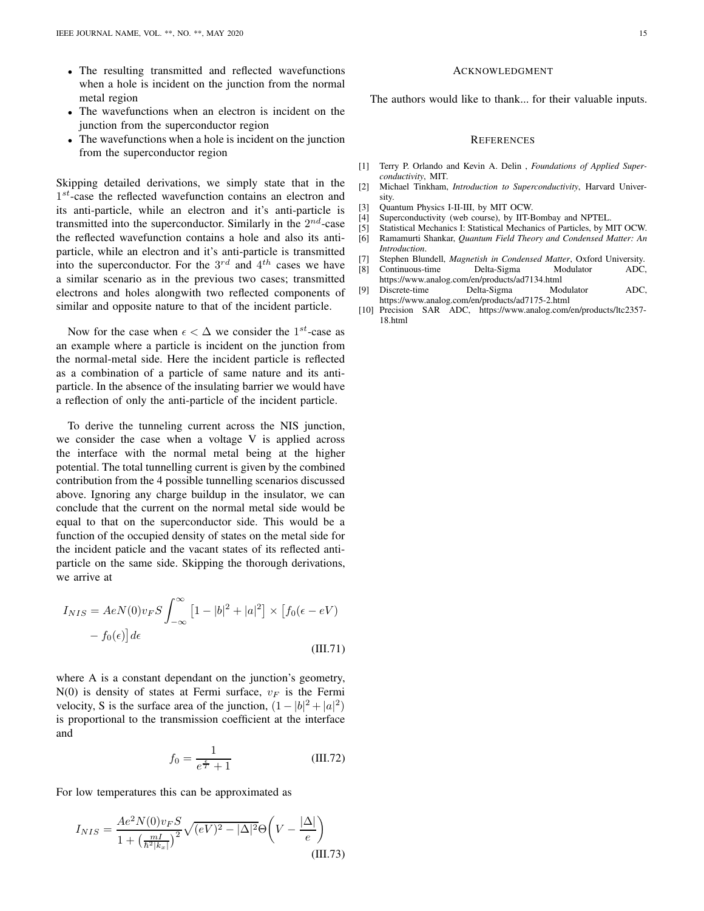- The resulting transmitted and reflected wavefunctions when a hole is incident on the junction from the normal metal region
- The wavefunctions when an electron is incident on the junction from the superconductor region
- The wavefunctions when a hole is incident on the junction from the superconductor region

Skipping detailed derivations, we simply state that in the 1<sup>st</sup>-case the reflected wavefunction contains an electron and its anti-particle, while an electron and it's anti-particle is transmitted into the superconductor. Similarly in the  $2^{nd}$ -case the reflected wavefunction contains a hole and also its antiparticle, while an electron and it's anti-particle is transmitted into the superconductor. For the  $3^{rd}$  and  $4^{th}$  cases we have a similar scenario as in the previous two cases; transmitted electrons and holes alongwith two reflected components of similar and opposite nature to that of the incident particle.

Now for the case when  $\epsilon < \Delta$  we consider the 1<sup>st</sup>-case as an example where a particle is incident on the junction from the normal-metal side. Here the incident particle is reflected as a combination of a particle of same nature and its antiparticle. In the absence of the insulating barrier we would have a reflection of only the anti-particle of the incident particle.

To derive the tunneling current across the NIS junction, we consider the case when a voltage V is applied across the interface with the normal metal being at the higher potential. The total tunnelling current is given by the combined contribution from the 4 possible tunnelling scenarios discussed above. Ignoring any charge buildup in the insulator, we can conclude that the current on the normal metal side would be equal to that on the superconductor side. This would be a function of the occupied density of states on the metal side for the incident paticle and the vacant states of its reflected antiparticle on the same side. Skipping the thorough derivations, we arrive at

$$
I_{NIS} = AeN(0)v_F S \int_{-\infty}^{\infty} \left[1 - |b|^2 + |a|^2\right] \times \left[f_0(\epsilon - eV) - f_0(\epsilon)\right] d\epsilon
$$
\n(III.71)

where A is a constant dependant on the junction's geometry,  $N(0)$  is density of states at Fermi surface,  $v_F$  is the Fermi velocity, S is the surface area of the junction,  $(1 - |b|^2 + |a|^2)$ is proportional to the transmission coefficient at the interface and

$$
f_0 = \frac{1}{e^{\frac{\epsilon}{T}} + 1} \tag{III.72}
$$

For low temperatures this can be approximated as

$$
I_{NIS} = \frac{Ae^2 N(0) v_F S}{1 + \left(\frac{mI}{\hbar^2 |k_x|}\right)^2} \sqrt{(eV)^2 - |\Delta|^2} \Theta \left(V - \frac{|\Delta|}{e}\right)
$$
\n(III.73)

#### ACKNOWLEDGMENT

The authors would like to thank... for their valuable inputs.

#### **REFERENCES**

- [1] Terry P. Orlando and Kevin A. Delin , *Foundations of Applied Superconductivity*, MIT.
- [2] Michael Tinkham, *Introduction to Superconductivity*, Harvard University.
- [3] Quantum Physics I-II-III, by MIT OCW.
- [4] Superconductivity (web course), by IIT-Bombay and NPTEL.
- [5] Statistical Mechanics I: Statistical Mechanics of Particles, by MIT OCW.
- [6] Ramamurti Shankar, *Quantum Field Theory and Condensed Matter: An Introduction*.
- [7] Stephen Blundell, *Magnetish in Condensed Matter*, Oxford University.
- <span id="page-14-0"></span>[8] Continuous-time Delta-Sigma Modulator ADC, https://www.analog.com/en/products/ad7134.html
- <span id="page-14-1"></span>[9] Discrete-time Delta-Sigma Modulator ADC, https://www.analog.com/en/products/ad7175-2.html
- <span id="page-14-2"></span>[10] Precision SAR ADC, https://www.analog.com/en/products/ltc2357-18.html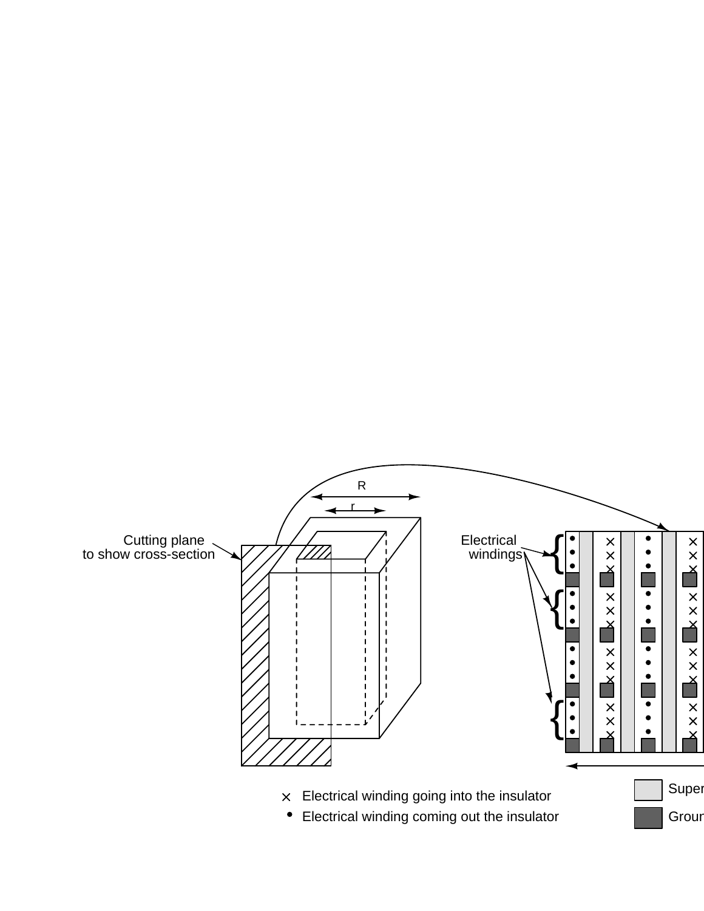